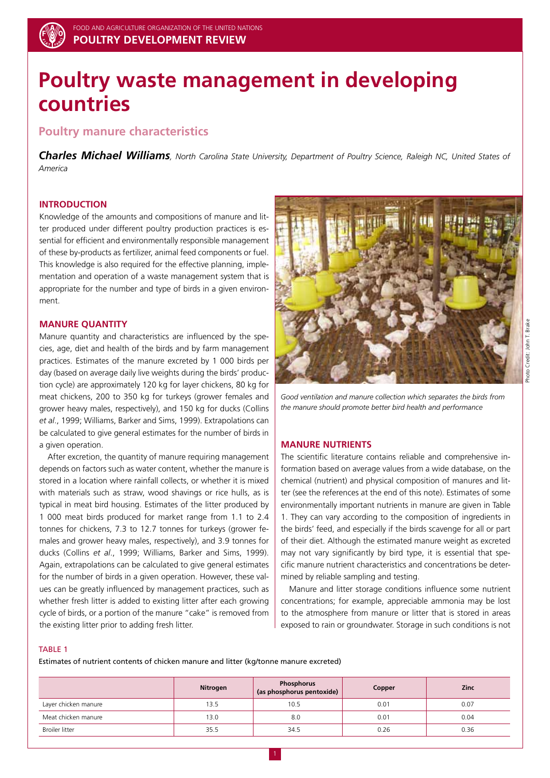# **Poultry waste management in developing countries**

## **Poultry manure characteristics**

*Charles Michael Williams, North Carolina State University, Department of Poultry Science, Raleigh NC, United States of America*

### **Introduction**

Knowledge of the amounts and compositions of manure and litter produced under different poultry production practices is essential for efficient and environmentally responsible management of these by-products as fertilizer, animal feed components or fuel. This knowledge is also required for the effective planning, implementation and operation of a waste management system that is appropriate for the number and type of birds in a given environment.

#### **Manure quantity**

Manure quantity and characteristics are influenced by the species, age, diet and health of the birds and by farm management practices. Estimates of the manure excreted by 1 000 birds per day (based on average daily live weights during the birds' production cycle) are approximately 120 kg for layer chickens, 80 kg for meat chickens, 200 to 350 kg for turkeys (grower females and grower heavy males, respectively), and 150 kg for ducks (Collins *et al*., 1999; Williams, Barker and Sims, 1999). Extrapolations can be calculated to give general estimates for the number of birds in a given operation.

After excretion, the quantity of manure requiring management depends on factors such as water content, whether the manure is stored in a location where rainfall collects, or whether it is mixed with materials such as straw, wood shavings or rice hulls, as is typical in meat bird housing. Estimates of the litter produced by 1 000 meat birds produced for market range from 1.1 to 2.4 tonnes for chickens, 7.3 to 12.7 tonnes for turkeys (grower females and grower heavy males, respectively), and 3.9 tonnes for ducks (Collins *et al*., 1999; Williams, Barker and Sims, 1999). Again, extrapolations can be calculated to give general estimates for the number of birds in a given operation. However, these values can be greatly influenced by management practices, such as whether fresh litter is added to existing litter after each growing cycle of birds, or a portion of the manure "cake" is removed from the existing litter prior to adding fresh litter.



*Good ventilation and manure collection which separates the birds from the manure should promote better bird health and performance*

#### **Manure nutrients**

The scientific literature contains reliable and comprehensive information based on average values from a wide database, on the chemical (nutrient) and physical composition of manures and litter (see the references at the end of this note). Estimates of some environmentally important nutrients in manure are given in Table 1. They can vary according to the composition of ingredients in the birds' feed, and especially if the birds scavenge for all or part of their diet. Although the estimated manure weight as excreted may not vary significantly by bird type, it is essential that specific manure nutrient characteristics and concentrations be determined by reliable sampling and testing.

Manure and litter storage conditions influence some nutrient concentrations; for example, appreciable ammonia may be lost to the atmosphere from manure or litter that is stored in areas exposed to rain or groundwater. Storage in such conditions is not

#### TABLE 1

Estimates of nutrient contents of chicken manure and litter (kg/tonne manure excreted)

|                       | Nitrogen | Phosphorus<br>(as phosphorus pentoxide) | Copper | <b>Zinc</b> |
|-----------------------|----------|-----------------------------------------|--------|-------------|
| Layer chicken manure  | 13.5     | 10.5                                    | 0.01   | 0.07        |
| Meat chicken manure   | 13.0     | 8.0                                     | 0.01   | 0.04        |
| <b>Broiler litter</b> | 35.5     | 34.5                                    | 0.26   | 0.36        |